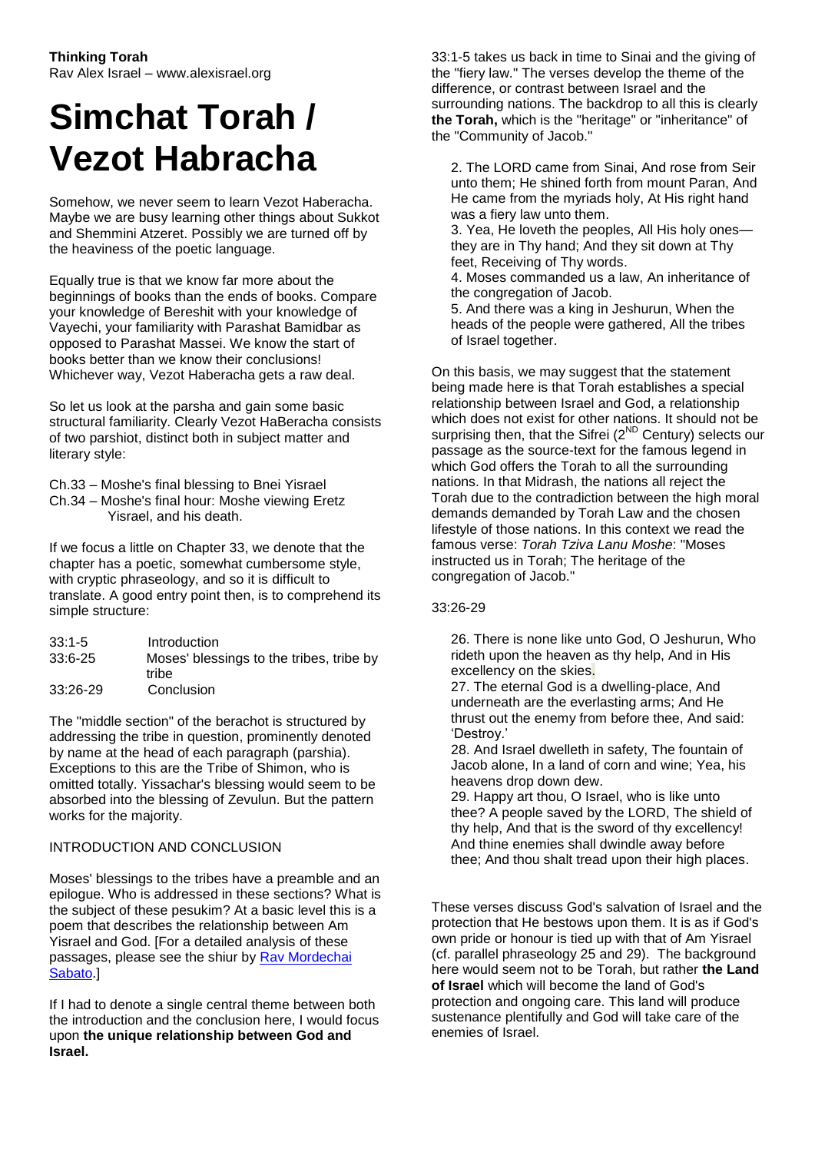## **Simchat Torah / Vezot Habracha**

Somehow, we never seem to learn Vezot Haberacha. Maybe we are busy learning other things about Sukkot and Shemmini Atzeret. Possibly we are turned off by the heaviness of the poetic language.

Equally true is that we know far more about the beginnings of books than the ends of books. Compare your knowledge of Bereshit with your knowledge of Vayechi, your familiarity with Parashat Bamidbar as opposed to Parashat Massei. We know the start of books better than we know their conclusions! Whichever way, Vezot Haberacha gets a raw deal.

So let us look at the parsha and gain some basic structural familiarity. Clearly Vezot HaBeracha consists of two parshiot, distinct both in subject matter and literary style:

Ch.33 – Moshe's final blessing to Bnei Yisrael Ch.34 – Moshe's final hour: Moshe viewing Eretz Yisrael, and his death.

If we focus a little on Chapter 33, we denote that the chapter has a poetic, somewhat cumbersome style, with cryptic phraseology, and so it is difficult to translate. A good entry point then, is to comprehend its simple structure:

| 33:1-5   | Introduction                             |
|----------|------------------------------------------|
| 33:6-25  | Moses' blessings to the tribes, tribe by |
|          | tribe                                    |
| 33:26-29 | Conclusion                               |

The "middle section" of the berachot is structured by addressing the tribe in question, prominently denoted by name at the head of each paragraph (parshia). Exceptions to this are the Tribe of Shimon, who is omitted totally. Yissachar's blessing would seem to be absorbed into the blessing of Zevulun. But the pattern works for the majority.

## INTRODUCTION AND CONCLUSION

Moses' blessings to the tribes have a preamble and an epilogue. Who is addressed in these sections? What is the subject of these pesukim? At a basic level this is a poem that describes the relationship between Am Yisrael and God. [For a detailed analysis of these passages, please see the shiur by [Rav Mordechai](http://www.vbm-torah.org/archive/parsha65/54-65vezot.htm)  [Sabato.](http://www.vbm-torah.org/archive/parsha65/54-65vezot.htm)]

If I had to denote a single central theme between both the introduction and the conclusion here, I would focus upon **the unique relationship between God and Israel.**

33:1-5 takes us back in time to Sinai and the giving of the "fiery law." The verses develop the theme of the difference, or contrast between Israel and the surrounding nations. The backdrop to all this is clearly **the Torah,** which is the "heritage" or "inheritance" of the "Community of Jacob."

2. The LORD came from Sinai, And rose from Seir unto them; He shined forth from mount Paran, And He came from the myriads holy, At His right hand was a fiery law unto them.

3. Yea, He loveth the peoples, All His holy ones they are in Thy hand; And they sit down at Thy feet, Receiving of Thy words.

4. Moses commanded us a law, An inheritance of the congregation of Jacob.

5. And there was a king in Jeshurun, When the heads of the people were gathered, All the tribes of Israel together.

On this basis, we may suggest that the statement being made here is that Torah establishes a special relationship between Israel and God, a relationship which does not exist for other nations. It should not be surprising then, that the Sifrei (2<sup>ND</sup> Century) selects our passage as the source-text for the famous legend in which God offers the Torah to all the surrounding nations. In that Midrash, the nations all reject the Torah due to the contradiction between the high moral demands demanded by Torah Law and the chosen lifestyle of those nations. In this context we read the famous verse: *Torah Tziva Lanu Moshe*: "Moses instructed us in Torah; The heritage of the congregation of Jacob."

## 33:26-29

26. There is none like unto God, O Jeshurun, Who rideth upon the heaven as thy help, And in His excellency on the skies.

27. The eternal God is a dwelling-place, And underneath are the everlasting arms; And He thrust out the enemy from before thee, And said: 'Destroy.'

28. And Israel dwelleth in safety, The fountain of Jacob alone, In a land of corn and wine; Yea, his heavens drop down dew.

29. Happy art thou, O Israel, who is like unto thee? A people saved by the LORD, The shield of thy help, And that is the sword of thy excellency! And thine enemies shall dwindle away before thee; And thou shalt tread upon their high places.

These verses discuss God's salvation of Israel and the protection that He bestows upon them. It is as if God's own pride or honour is tied up with that of Am Yisrael (cf. parallel phraseology 25 and 29). The background here would seem not to be Torah, but rather **the Land of Israel** which will become the land of God's protection and ongoing care. This land will produce sustenance plentifully and God will take care of the enemies of Israel.